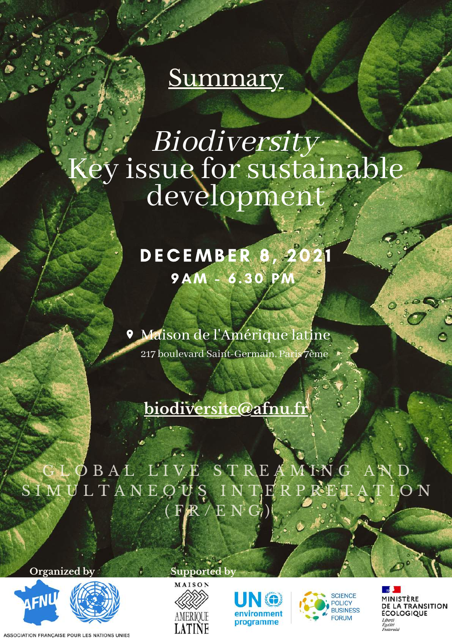## **Summary**

## Biodiversity ey issue for sustainable development

### DECEMBER 8, 202 9AM - 6 . 30 PM

Maison de l'Amérique latine 217 boulevard Saint-Germain, Paris 7ème

#### **[biodiversite@afnu.fr](mailto:desarmement@afnu.fr)**

#### ØBAL LIVE STREAMING  $S$ IMULTANEOUS INTERPRETATION (  $F/R$  / E N  $G_0$ )

**Organized by Supported by**



ASSOCIATION FRANÇAISE POUR LES NATIONS UNIES







MINISTÈRE DE LA TRANSITION **ÉCOLOGIQUE** Liberté Egalité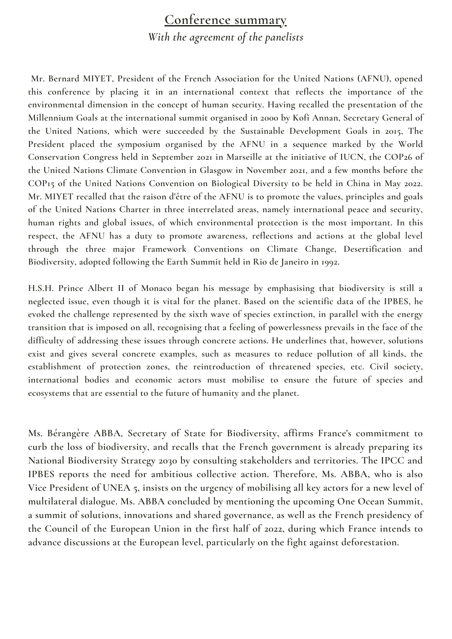#### **Conference summary** *With the agreement of the panelists*

**Mr. Bernard MIYET, President of the French Association for the United Nations (AFNU), opened this conference by placing it in an international context that reflects the importance of the environmental dimension in the concept of human security. Having recalled the presentation of the Millennium Goals at the international summit organised in 2000 by Kofi Annan, Secretary General of the United Nations, which were succeeded by the Sustainable Development Goals in 2015, The President placed the symposium organised by the AFNU in a sequence marked by the World Conservation Congress held in September 2021 in Marseille at the initiative of IUCN, the COP26 of the United Nations Climate Convention in Glasgow in November 2021, and a few months before the COP15 of the United Nations Convention on Biological Diversity to be held in China in May 2022.** Mr. MIYET recalled that the raison d'être of the AFNU is to promote the values, principles and goals **of the United Nations Charter in three interrelated areas, namely international peace and security, human rights and global issues, of which environmental protection is the most important. In this respect, the AFNU has a duty to promote awareness, reflections and actions at the global level through the three major Framework Conventions on Climate Change, Desertification and Biodiversity, adopted following the Earth Summit held in Rio de Janeiro in 1992.**

**H.S.H. Prince Albert II of Monaco began his message by emphasising that biodiversity is still a** neglected issue, even though it is vital for the planet. Based on the scientific data of the IPBES, he **evoked the challenge represented by the sixth wave of species extinction, in parallel with the energy** transition that is imposed on all, recognising that a feeling of powerlessness prevails in the face of the **difficulty of addressing these issues through concrete actions. He underlines that, however, solutions exist and gives several concrete examples, such as measures to reduce pollution of all kinds, the establishment of protection zones, the reintroduction of threatened species, etc. Civil society, international bodies and economic actors must mobilise to ensure the future of species and ecosystems that are essential to the future of humanity and the planet.**

**Ms. Bérangère ABBA, Secretary of State for Biodiversity, affirms France's commitment to curb the loss of biodiversity, and recalls that the French government is already preparing its National Biodiversity Strategy 2030 by consulting stakeholders and territories. The IPCC and IPBES reports the need for ambitious collective action. Therefore, Ms. ABBA, who is also** Vice President of UNEA 5, insists on the urgency of mobilising all key actors for a new level of **multilateral dialogue. Ms. ABBA concluded by mentioning the upcoming One Ocean Summit, a summit of solutions, innovations and shared governance, as well as the French presidency of the Council of the European Union in the first half of 2022, during which France intends to advance discussions at the European level, particularly on the fight against deforestation.**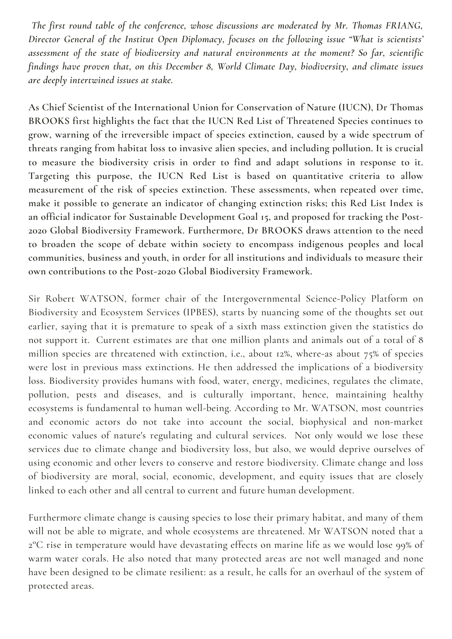*The first round table of the conference, whose discussions are moderated by Mr. Thomas FRIANG, Director General of the Institut Open Diplomacy, focuses on the following issue "What is scientists' assessment of the state of biodiversity and natural environments at the moment? So far, scientific findings have proven that, on this December 8, World Climate Day, biodiversity, and climate issues are deeply intertwined issues at stake.*

**As Chief Scientist of the International Union for Conservation of Nature (IUCN), Dr Thomas BROOKS first highlights the fact that the IUCN Red List of Threatened Species continues to grow, warning of the irreversible impact of species extinction, caused by a wide spectrum of threats ranging from habitat loss to invasive alien species, and including pollution. It is crucial to measure the biodiversity crisis in order to find and adapt solutions in response to it. Targeting this purpose, the IUCN Red List is based on quantitative criteria to allow measurement of the risk of species extinction. These assessments, when repeated over time, make it possible to generate an indicator of changing extinction risks; this Red List Index is an official indicator for Sustainable Development Goal 15, and proposed for tracking the Post-2020 Global Biodiversity Framework. Furthermore, Dr BROOKS draws attention to the need to broaden the scope of debate within society to encompass indigenous peoples and local communities, business and youth, in order for all institutions and individuals to measure their own contributions to the Post-2020 Global Biodiversity Framework.**

Sir Robert WATSON, former chair of the Intergovernmental Science-Policy Platform on Biodiversity and Ecosystem Services (IPBES), starts by nuancing some of the thoughts set out earlier, saying that it is premature to speak of a sixth mass extinction given the statistics do not support it. Current estimates are that one million plants and animals out of a total of 8 million species are threatened with extinction, i.e., about 12%, where-as about 75% of species were lost in previous mass extinctions. He then addressed the implications of a biodiversity loss. Biodiversity provides humans with food, water, energy, medicines, regulates the climate, pollution, pests and diseases, and is culturally important, hence, maintaining healthy ecosystems is fundamental to human well-being. According to Mr. WATSON, most countries and economic actors do not take into account the social, biophysical and non-market economic values of nature's regulating and cultural services. Not only would we lose these services due to climate change and biodiversity loss, but also, we would deprive ourselves of using economic and other levers to conserve and restore biodiversity. Climate change and loss of biodiversity are moral, social, economic, development, and equity issues that are closely linked to each other and all central to current and future human development.

Furthermore climate change is causing species to lose their primary habitat, and many of them will not be able to migrate, and whole ecosystems are threatened. Mr WATSON noted that a 2°C rise in temperature would have devastating effects on marine life as we would lose 99% of warm water corals. He also noted that many protected areas are not well managed and none have been designed to be climate resilient: as a result, he calls for an overhaul of the system of protected areas.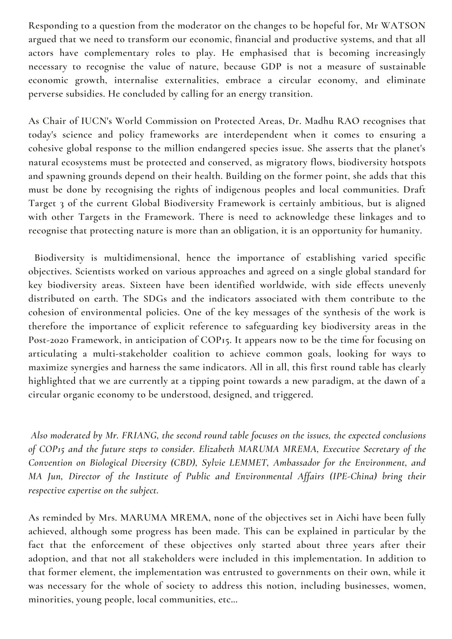**Responding to a question from the moderator on the changes to be hopeful for, Mr WATSON argued that we need to transform our economic, financial and productive systems, and that all actors have complementary roles to play. He emphasised that is becoming increasingly necessary to recognise the value of nature, because GDP is not a measure of sustainable economic growth, internalise externalities, embrace a circular economy, and eliminate perverse subsidies. He concluded by calling for an energy transition.**

**As Chair of IUCN's World Commission on Protected Areas, Dr. Madhu RAO recognises that today's science and policy frameworks are interdependent when it comes to ensuring a cohesive global response to the million endangered species issue. She asserts that the planet's natural ecosystems must be protected and conserved, as migratory flows, biodiversity hotspots and spawning grounds depend on their health. Building on the former point, she adds that this must be done by recognising the rights of indigenous peoples and local communities. Draft Target 3 of the current Global Biodiversity Framework is certainly ambitious, but is aligned with other Targets in the Framework. There is need to acknowledge these linkages and to recognise that protecting nature is more than an obligation, it is an opportunity for humanity.**

**Biodiversity is multidimensional, hence the importance of establishing varied specific objectives. Scientists worked on various approaches and agreed on a single global standard for key biodiversity areas. Sixteen have been identified worldwide, with side effects unevenly distributed on earth. The SDGs and the indicators associated with them contribute to the cohesion of environmental policies. One of the key messages of the synthesis of the work is therefore the importance of explicit reference to safeguarding key biodiversity areas in the Post-2020 Framework, in anticipation of COP15. It appears now to be the time for focusing on articulating a multi-stakeholder coalition to achieve common goals, looking for ways to maximize synergies and harness the same indicators. All in all, this first round table has clearly highlighted that we are currently at a tipping point towards a new paradigm, at the dawn of a circular organic economy to be understood, designed, and triggered.**

*Also moderated by Mr. FRIANG, the second round table focuses on the issues, the expected conclusions of COP15 and the future steps to consider. Elizabeth MARUMA MREMA, Executive Secretary of the Convention on Biological Diversity (CBD), Sylvie LEMMET, Ambassador for the Environment, and MA Jun, Director of the Institute of Public and Environmental Affairs (IPE-China) bring their respective expertise on the subject.*

**As reminded by Mrs. MARUMA MREMA, none of the objectives set in Aichi have been fully achieved, although some progress has been made. This can be explained in particular by the fact that the enforcement of these objectives only started about three years after their adoption, and that not all stakeholders were included in this implementation. In addition to that former element, the implementation was entrusted to governments on their own, while it was necessary for the whole of society to address this notion, including businesses, women, minorities, young people, local communities, etc...**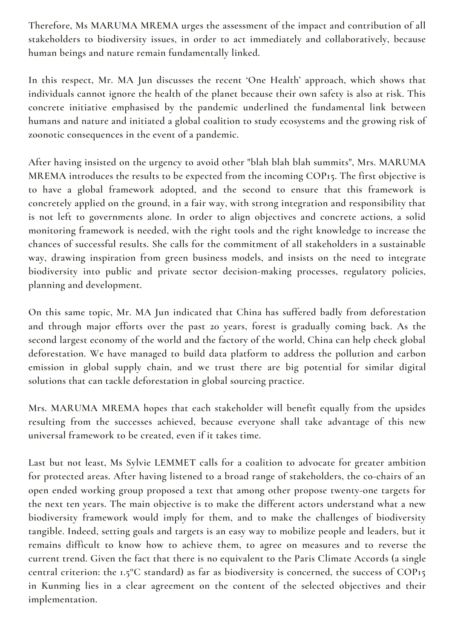**Therefore, Ms MARUMA MREMA urges the assessment of the impact and contribution of all stakeholders to biodiversity issues, in order to act immediately and collaboratively, because human beings and nature remain fundamentally linked.**

**In this respect, Mr. MA Jun discusses the recent 'One Health' approach, which shows that individuals cannot ignore the health of the planet because their own safety is also at risk. This concrete initiative emphasised by the pandemic underlined the fundamental link between humans and nature and initiated a global coalition to study ecosystems and the growing risk of zoonotic consequences in the event of a pandemic.**

**After having insisted on the urgency to avoid other "blah blah blah summits", Mrs. MARUMA MREMA introduces the results to be expected from the incoming COP15. The first objective is to have a global framework adopted, and the second to ensure that this framework is concretely applied on the ground, in a fair way, with strong integration and responsibility that is not left to governments alone. In order to align objectives and concrete actions, a solid monitoring framework is needed, with the right tools and the right knowledge to increase the chances of successful results. She calls for the commitment of all stakeholders in a sustainable way, drawing inspiration from green business models, and insists on the need to integrate biodiversity into public and private sector decision-making processes, regulatory policies, planning and development.**

**On this same topic, Mr. MA Jun indicated that China has suffered badly from deforestation and through major efforts over the past 20 years, forest is gradually coming back. As the second largest economy of the world and the factory of the world, China can help check global deforestation. We have managed to build data platform to address the pollution and carbon emission in global supply chain, and we trust there are big potential for similar digital solutions that can tackle deforestation in global sourcing practice.**

**Mrs. MARUMA MREMA hopes that each stakeholder will benefit equally from the upsides resulting from the successes achieved, because everyone shall take advantage of this new universal framework to be created, even if it takes time.**

**Last but not least, Ms Sylvie LEMMET calls for a coalition to advocate for greater ambition for protected areas. After having listened to a broad range of stakeholders, the co-chairs of an open ended working group proposed a text that among other propose twenty-one targets for the next ten years. The main objective is to make the different actors understand what a new biodiversity framework would imply for them, and to make the challenges of biodiversity tangible. Indeed, setting goals and targets is an easy way to mobilize people and leaders, but it remains difficult to know how to achieve them, to agree on measures and to reverse the current trend. Given the fact that there is no equivalent to the Paris Climate Accords (a single central criterion: the 1.5°C standard) as far as biodiversity is concerned, the success of COP15 in Kunming lies in a clear agreement on the content of the selected objectives and their implementation.**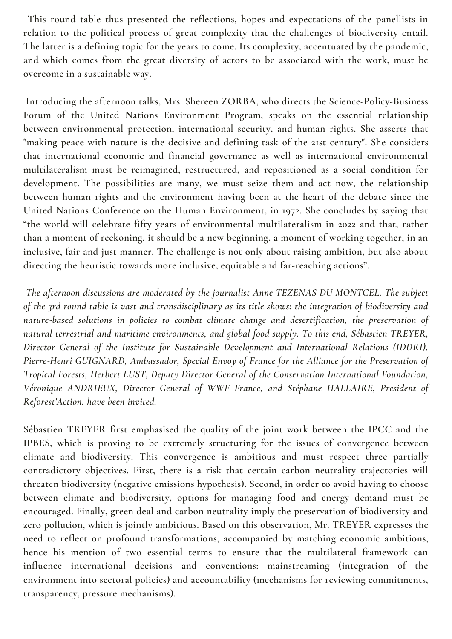**This round table thus presented the reflections, hopes and expectations of the panellists in relation to the political process of great complexity that the challenges of biodiversity entail. The latter is a defining topic for the years to come. Its complexity, accentuated by the pandemic, and which comes from the great diversity of actors to be associated with the work, must be overcome in a sustainable way.**

**Introducing the afternoon talks, Mrs. Shereen ZORBA, who directs the Science-Policy-Business Forum of the United Nations Environment Program, speaks on the essential relationship between environmental protection, international security, and human rights. She asserts that "making peace with nature is the decisive and defining task of the 21st century". She considers that international economic and financial governance as well as international environmental multilateralism must be reimagined, restructured, and repositioned as a social condition for development. The possibilities are many, we must seize them and act now, the relationship between human rights and the environment having been at the heart of the debate since the United Nations Conference on the Human Environment, in 1972. She concludes by saying that "the world will celebrate fifty years of environmental multilateralism in 2022 and that, rather than a moment of reckoning, it should be a new beginning, a moment of working together, in an inclusive, fair and just manner. The challenge is not only about raising ambition, but also about directing the heuristic towards more inclusive, equitable and far-reaching actions".**

*The afternoon discussions are moderated by the journalist Anne TEZENAS DU MONTCEL. The subject* of the 3rd round table is vast and transdisciplinary as its title shows: the integration of biodiversity and *nature-based solutions in policies to combat climate change and desertification, the preservation of natural terrestrial and maritime environments, and global food supply. To this end, Sébastien TREYER, Director General of the Institute for Sustainable Development and International Relations (IDDRI), Pierre-Henri GUIGNARD, Ambassador, Special Envoy of France for the Alliance for the Preservation of Tropical Forests, Herbert LUST, Deputy Director General of the Conservation International Foundation, Véronique ANDRIEUX, Director General of WWF France, and Stéphane HALLAIRE, President of Reforest'Action, have been invited.*

**Sébastien TREYER first emphasised the quality of the joint work between the IPCC and the IPBES, which is proving to be extremely structuring for the issues of convergence between climate and biodiversity. This convergence is ambitious and must respect three partially contradictory objectives. First, there is a risk that certain carbon neutrality trajectories will threaten biodiversity (negative emissions hypothesis). Second, in order to avoid having to choose between climate and biodiversity, options for managing food and energy demand must be encouraged. Finally, green deal and carbon neutrality imply the preservation of biodiversity and zero pollution, which is jointly ambitious. Based on this observation, Mr. TREYER expresses the need to reflect on profound transformations, accompanied by matching economic ambitions, hence his mention of two essential terms to ensure that the multilateral framework can influence international decisions and conventions: mainstreaming (integration of the environment into sectoral policies) and accountability (mechanisms for reviewing commitments, transparency, pressure mechanisms).**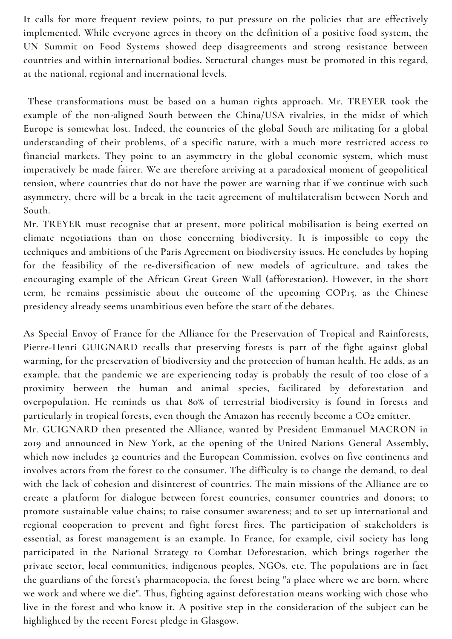**It calls for more frequent review points, to put pressure on the policies that are effectively implemented. While everyone agrees in theory on the definition of a positive food system, the UN Summit on Food Systems showed deep disagreements and strong resistance between countries and within international bodies. Structural changes must be promoted in this regard, at the national, regional and international levels.**

**These transformations must be based on a human rights approach. Mr. TREYER took the example of the non-aligned South between the China/USA rivalries, in the midst of which Europe is somewhat lost. Indeed, the countries of the global South are militating for a global understanding of their problems, of a specific nature, with a much more restricted access to financial markets. They point to an asymmetry in the global economic system, which must imperatively be made fairer. We are therefore arriving at a paradoxical moment of geopolitical tension, where countries that do not have the power are warning that if we continue with such asymmetry, there will be a break in the tacit agreement of multilateralism between North and South.**

**Mr. TREYER must recognise that at present, more political mobilisation is being exerted on climate negotiations than on those concerning biodiversity. It is impossible to copy the techniques and ambitions of the Paris Agreement on biodiversity issues. He concludes by hoping for the feasibility of the re-diversification of new models of agriculture, and takes the encouraging example of the African Great Green Wall (afforestation). However, in the short term, he remains pessimistic about the outcome of the upcoming COP15, as the Chinese presidency already seems unambitious even before the start of the debates.**

**As Special Envoy of France for the Alliance for the Preservation of Tropical and Rainforests, Pierre-Henri GUIGNARD recalls that preserving forests is part of the fight against global warming, for the preservation of biodiversity and the protection of human health. He adds, as an example, that the pandemic we are experiencing today is probably the result of too close of a proximity between the human and animal species, facilitated by deforestation and overpopulation. He reminds us that 80% of terrestrial biodiversity is found in forests and particularly in tropical forests, even though the Amazon has recently become a CO2 emitter.**

**Mr. GUIGNARD then presented the Alliance, wanted by President Emmanuel MACRON in 2019 and announced in New York, at the opening of the United Nations General Assembly, which now includes 32 countries and the European Commission, evolves on five continents and involves actors from the forest to the consumer. The difficulty is to change the demand, to deal with the lack of cohesion and disinterest of countries. The main missions of the Alliance are to create a platform for dialogue between forest countries, consumer countries and donors; to promote sustainable value chains; to raise consumer awareness; and to set up international and regional cooperation to prevent and fight forest fires. The participation of stakeholders is essential, as forest management is an example. In France, for example, civil society has long participated in the National Strategy to Combat Deforestation, which brings together the private sector, local communities, indigenous peoples, NGOs, etc. The populations are in fact the guardians of the forest's pharmacopoeia, the forest being "a place where we are born, where we work and where we die". Thus, fighting against deforestation means working with those who** live in the forest and who know it. A positive step in the consideration of the subject can be **highlighted by the recent Forest pledge in Glasgow.**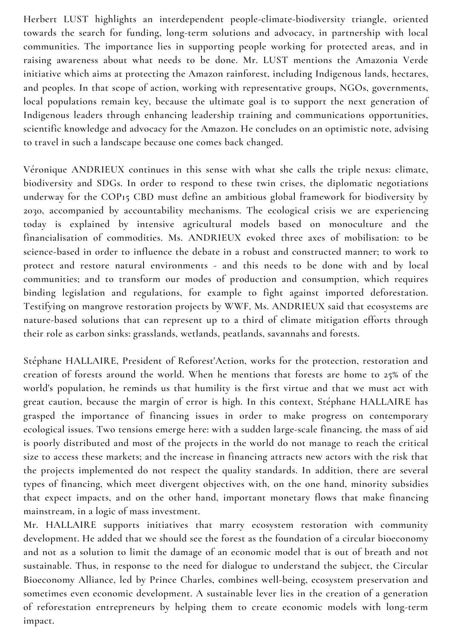**Herbert LUST highlights an interdependent people-climate-biodiversity triangle, oriented towards the search for funding, long-term solutions and advocacy, in partnership with local communities. The importance lies in supporting people working for protected areas, and in raising awareness about what needs to be done. Mr. LUST mentions the Amazonia Verde initiative which aims at protecting the Amazon rainforest, including Indigenous lands, hectares, and peoples. In that scope of action, working with representative groups, NGOs, governments, local populations remain key, because the ultimate goal is to support the next generation of Indigenous leaders through enhancing leadership training and communications opportunities, scientific knowledge and advocacy for the Amazon. He concludes on an optimistic note, advising to travel in such a landscape because one comes back changed.**

**Véronique ANDRIEUX continues in this sense with what she calls the triple nexus: climate, biodiversity and SDGs. In order to respond to these twin crises, the diplomatic negotiations underway for the COP15 CBD must define an ambitious global framework for biodiversity by 2030, accompanied by accountability mechanisms. The ecological crisis we are experiencing today is explained by intensive agricultural models based on monoculture and the financialisation of commodities. Ms. ANDRIEUX evoked three axes of mobilisation: to be science-based in order to influence the debate in a robust and constructed manner; to work to protect and restore natural environments - and this needs to be done with and by local communities; and to transform our modes of production and consumption, which requires binding legislation and regulations, for example to fight against imported deforestation. Testifying on mangrove restoration projects by WWF, Ms. ANDRIEUX said that ecosystems are nature-based solutions that can represent up to a third of climate mitigation efforts through their role as carbon sinks: grasslands, wetlands, peatlands, savannahs and forests.**

**Stéphane HALLAIRE, President of Reforest'Action, works for the protection, restoration and creation of forests around the world. When he mentions that forests are home to 25% of the world's population, he reminds us that humility is the first virtue and that we must act with great caution, because the margin of error is high. In this context, Stéphane HALLAIRE has grasped the importance of financing issues in order to make progress on contemporary ecological issues. Two tensions emerge here: with a sudden large-scale financing, the mass of aid is poorly distributed and most of the projects in the world do not manage to reach the critical size to access these markets; and the increase in financing attracts new actors with the risk that the projects implemented do not respect the quality standards. In addition, there are several types of financing, which meet divergent objectives with, on the one hand, minority subsidies that expect impacts, and on the other hand, important monetary flows that make financing mainstream, in a logic of mass investment.**

**Mr. HALLAIRE supports initiatives that marry ecosystem restoration with community development. He added that we should see the forest as the foundation of a circular bioeconomy** and not as a solution to limit the damage of an economic model that is out of breath and not **sustainable. Thus, in response to the need for dialogue to understand the subject, the Circular Bioeconomy Alliance, led by Prince Charles, combines well-being, ecosystem preservation and sometimes even economic development. A sustainable lever lies in the creation of a generation of reforestation entrepreneurs by helping them to create economic models with long-term impact.**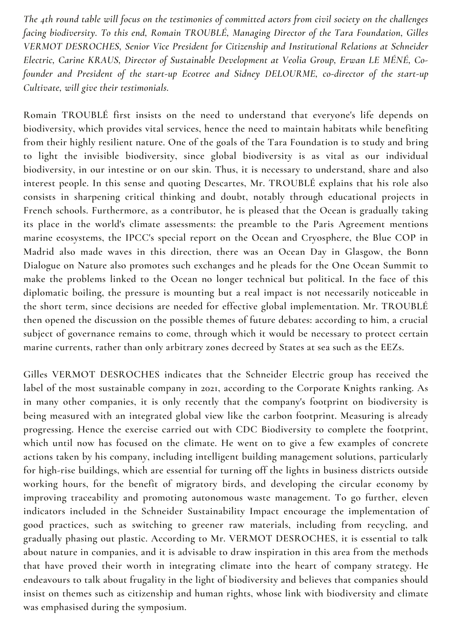The 4th round table will focus on the testimonies of committed actors from civil society on the challenges *facing biodiversity. To this end, Romain TROUBLÉ, Managing Director of the Tara Foundation, Gilles VERMOT DESROCHES, Senior Vice President for Citizenship and Institutional Relations at Schneider Electric, Carine KRAUS, Director of Sustainable Development at Veolia Group, Erwan LE MÉNÉ, Cofounder and President of the start-up Ecotree and Sidney DELOURME, co-director of the start-up Cultivate, will give their testimonials.*

**Romain TROUBLÉ first insists on the need to understand that everyone's life depends on biodiversity, which provides vital services, hence the need to maintain habitats while benefiting from their highly resilient nature. One of the goals of the Tara Foundation is to study and bring to light the invisible biodiversity, since global biodiversity is as vital as our individual biodiversity, in our intestine or on our skin. Thus, it is necessary to understand, share and also interest people. In this sense and quoting Descartes, Mr. TROUBLÉ explains that his role also consists in sharpening critical thinking and doubt, notably through educational projects in French schools. Furthermore, as a contributor, he is pleased that the Ocean is gradually taking its place in the world's climate assessments: the preamble to the Paris Agreement mentions marine ecosystems, the IPCC's special report on the Ocean and Cryosphere, the Blue COP in Madrid also made waves in this direction, there was an Ocean Day in Glasgow, the Bonn Dialogue on Nature also promotes such exchanges and he pleads for the One Ocean Summit to make the problems linked to the Ocean no longer technical but political. In the face of this diplomatic boiling, the pressure is mounting but a real impact is not necessarily noticeable in the short term, since decisions are needed for effective global implementation. Mr. TROUBLÉ then opened the discussion on the possible themes of future debates: according to him, a crucial subject of governance remains to come, through which it would be necessary to protect certain marine currents, rather than only arbitrary zones decreed by States at sea such as the EEZs.**

**Gilles VERMOT DESROCHES indicates that the Schneider Electric group has received the label of the most sustainable company in 2021, according to the Corporate Knights ranking. As in many other companies, it is only recently that the company's footprint on biodiversity is being measured with an integrated global view like the carbon footprint. Measuring is already progressing. Hence the exercise carried out with CDC Biodiversity to complete the footprint, which until now has focused on the climate. He went on to give a few examples of concrete actions taken by his company, including intelligent building management solutions, particularly for high-rise buildings, which are essential for turning off the lights in business districts outside working hours, for the benefit of migratory birds, and developing the circular economy by improving traceability and promoting autonomous waste management. To go further, eleven indicators included in the Schneider Sustainability Impact encourage the implementation of good practices, such as switching to greener raw materials, including from recycling, and gradually phasing out plastic. According to Mr. VERMOT DESROCHES, it is essential to talk about nature in companies, and it is advisable to draw inspiration in this area from the methods that have proved their worth in integrating climate into the heart of company strategy. He endeavours to talk about frugality in the light of biodiversity and believes that companies should insist on themes such as citizenship and human rights, whose link with biodiversity and climate was emphasised during the symposium.**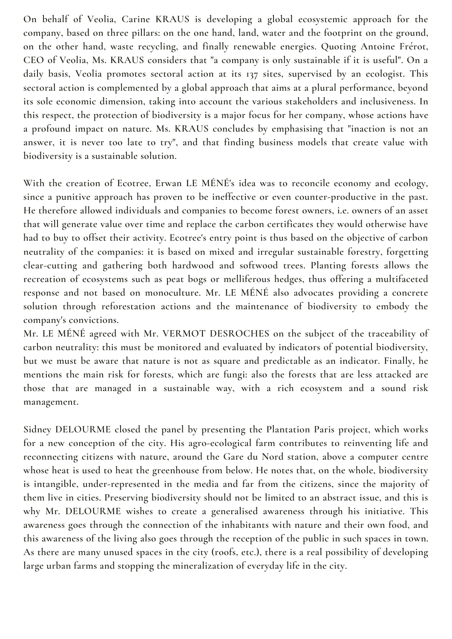**On behalf of Veolia, Carine KRAUS is developing a global ecosystemic approach for the company, based on three pillars: on the one hand, land, water and the footprint on the ground, on the other hand, waste recycling, and finally renewable energies. Quoting Antoine Frérot, CEO of Veolia, Ms. KRAUS considers that "a company is only sustainable if it is useful". On a daily basis, Veolia promotes sectoral action at its 137 sites, supervised by an ecologist. This sectoral action is complemented by a global approach that aims at a plural performance, beyond its sole economic dimension, taking into account the various stakeholders and inclusiveness. In this respect, the protection of biodiversity is a major focus for her company, whose actions have a profound impact on nature. Ms. KRAUS concludes by emphasising that "inaction is not an answer, it is never too late to try", and that finding business models that create value with biodiversity is a sustainable solution.**

**With the creation of Ecotree, Erwan LE MÉNÉ's idea was to reconcile economy and ecology, since a punitive approach has proven to be ineffective or even counter-productive in the past. He therefore allowed individuals and companies to become forest owners, i.e. owners of an asset that will generate value over time and replace the carbon certificates they would otherwise have** had to buy to offset their activity. Ecotree's entry point is thus based on the objective of carbon **neutrality of the companies: it is based on mixed and irregular sustainable forestry, forgetting clear-cutting and gathering both hardwood and softwood trees. Planting forests allows the recreation of ecosystems such as peat bogs or melliferous hedges, thus offering a multifaceted response and not based on monoculture. Mr. LE MÉNÉ also advocates providing a concrete solution through reforestation actions and the maintenance of biodiversity to embody the company's convictions.**

**Mr. LE MÉNÉ agreed with Mr. VERMOT DESROCHES on the subject of the traceability of carbon neutrality: this must be monitored and evaluated by indicators of potential biodiversity, but we must be aware that nature is not as square and predictable as an indicator. Finally, he mentions the main risk for forests, which are fungi: also the forests that are less attacked are those that are managed in a sustainable way, with a rich ecosystem and a sound risk management.**

**Sidney DELOURME closed the panel by presenting the Plantation Paris project, which works for a new conception of the city. His agro-ecological farm contributes to reinventing life and reconnecting citizens with nature, around the Gare du Nord station, above a computer centre whose heat is used to heat the greenhouse from below. He notes that, on the whole, biodiversity is intangible, under-represented in the media and far from the citizens, since the majority of them live in cities. Preserving biodiversity should not be limited to an abstract issue, and this is why Mr. DELOURME wishes to create a generalised awareness through his initiative. This awareness goes through the connection of the inhabitants with nature and their own food, and this awareness of the living also goes through the reception of the public in such spaces in town.** As there are many unused spaces in the city (roofs, etc.), there is a real possibility of developing **large urban farms and stopping the mineralization of everyday life in the city.**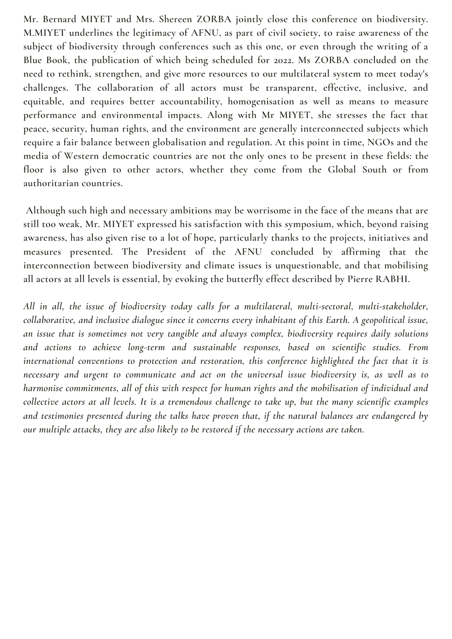**Mr. Bernard MIYET and Mrs. Shereen ZORBA jointly close this conference on biodiversity. M.MIYET underlines the legitimacy of AFNU, as part of civil society, to raise awareness of the subject of biodiversity through conferences such as this one, or even through the writing of a Blue Book, the publication of which being scheduled for 2022. Ms ZORBA concluded on the need to rethink, strengthen, and give more resources to our multilateral system to meet today's challenges. The collaboration of all actors must be transparent, effective, inclusive, and equitable, and requires better accountability, homogenisation as well as means to measure performance and environmental impacts. Along with Mr MIYET, she stresses the fact that peace, security, human rights, and the environment are generally interconnected subjects which require a fair balance between globalisation and regulation. At this point in time, NGOs and the media of Western democratic countries are not the only ones to be present in these fields: the floor is also given to other actors, whether they come from the Global South or from authoritarian countries.**

**Although such high and necessary ambitions may be worrisome in the face of the means that are still too weak, Mr. MIYET expressed his satisfaction with this symposium, which, beyond raising awareness, has also given rise to a lot of hope, particularly thanks to the projects, initiatives and measures presented. The President of the AFNU concluded by affirming that the interconnection between biodiversity and climate issues is unquestionable, and that mobilising all actors at all levels is essential, by evoking the butterfly effect described by Pierre RABHI.**

*All in all, the issue of biodiversity today calls for a multilateral, multi-sectoral, multi-stakeholder, collaborative, and inclusive dialogue since it concerns every inhabitant of this Earth. A geopolitical issue, an issue that is sometimes not very tangible and always complex, biodiversity requires daily solutions and actions to achieve long-term and sustainable responses, based on scientific studies. From international conventions to protection and restoration, this conference highlighted the fact that it is necessary and urgent to communicate and act on the universal issue biodiversity is, as well as to harmonise commitments, all of this with respect for human rights and the mobilisation of individual and* collective actors at all levels. It is a tremendous challenge to take up, but the many scientific examples *and testimonies presented during the talks have proven that, if the natural balances are endangered by our multiple attacks, they are also likely to be restored if the necessary actions are taken.*